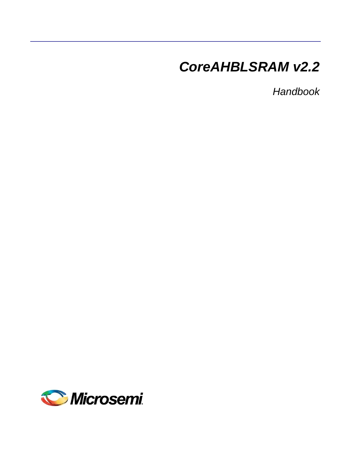# *CoreAHBLSRAM v2.2*

*Handbook*

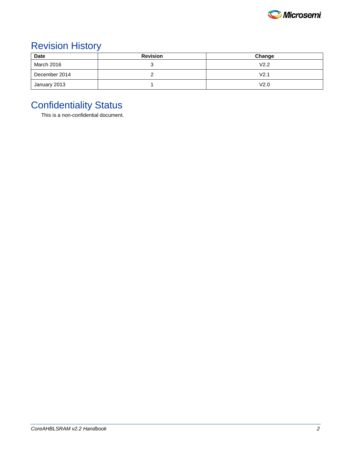

### Revision History

| <b>Date</b>   | <b>Revision</b> | Change |
|---------------|-----------------|--------|
| March 2016    |                 | V2.2   |
| December 2014 |                 | V2.1   |
| January 2013  |                 | V2.0   |

### Confidentiality Status

This is a non-confidential document.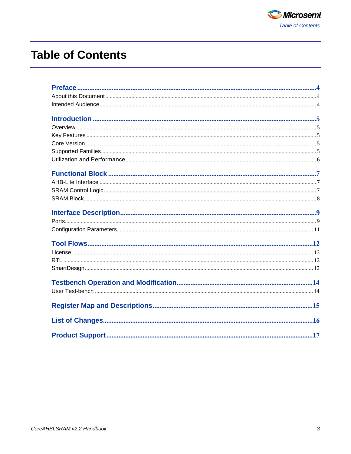

## **Table of Contents**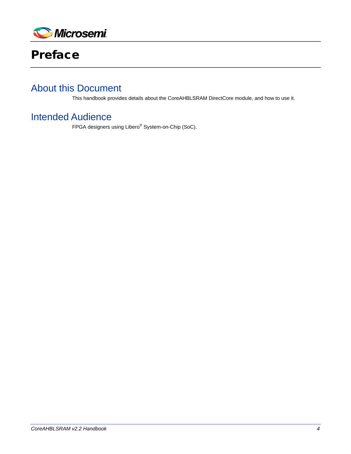

<span id="page-3-0"></span>

#### <span id="page-3-1"></span>About this Document

This handbook provides details about the CoreAHBLSRAM DirectCore module, and how to use it.

#### <span id="page-3-2"></span>Intended Audience

FPGA designers using Libero® System-on-Chip (SoC).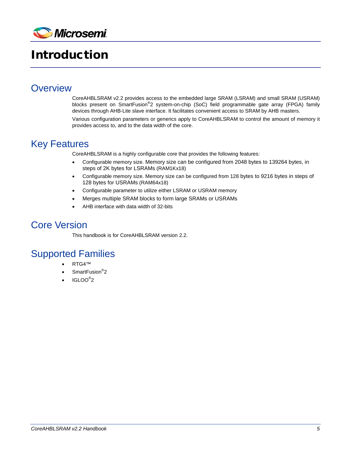

## <span id="page-4-0"></span>Introduction

#### <span id="page-4-1"></span>**Overview**

CoreAHBLSRAM v2.2 provides access to the embedded large SRAM (LSRAM) and small SRAM (USRAM) blocks present on SmartFusion<sup>®</sup>2 system-on-chip (SoC) field programmable gate array (FPGA) family devices through AHB-Lite slave interface. It facilitates convenient access to SRAM by AHB masters.

Various configuration parameters or generics apply to CoreAHBLSRAM to control the amount of memory it provides access to, and to the data width of the core.

### <span id="page-4-2"></span>Key Features

CoreAHBLSRAM is a highly configurable core that provides the following features:

- Configurable memory size. Memory size can be configured from 2048 bytes to 139264 bytes, in steps of 2K bytes for LSRAMs (RAM1Kx18)
- Configurable memory size. Memory size can be configured from 128 bytes to 9216 bytes in steps of 128 bytes for USRAMs (RAM64x18)
- Configurable parameter to utilize either LSRAM or USRAM memory
- Merges multiple SRAM blocks to form large SRAMs or USRAMs
- AHB interface with data width of 32-bits

#### <span id="page-4-3"></span>Core Version

This handbook is for CoreAHBLSRAM version 2.2.

#### <span id="page-4-4"></span>Supported Families

- RTG4™
- SmartFusion<sup>®</sup>2
- IGLOO $^{\circ}$ 2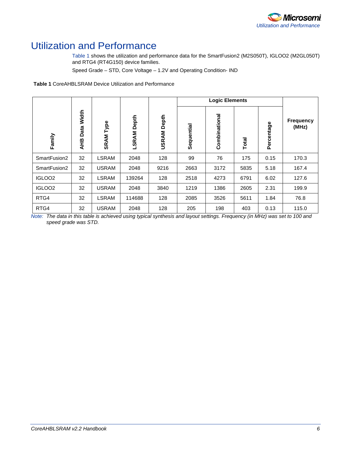

### <span id="page-5-0"></span>Utilization and Performance

[Table 1](#page-5-1) shows the utilization and performance data for the SmartFusion2 (M2S050T), IGLOO2 (M2GL050T) and RTG4 (RT4G150) device families.

Speed Grade – STD, Core Voltage – 1.2V and Operating Condition- IND

<span id="page-5-1"></span>**Table 1** CoreAHBLSRAM Device Utilization and Performance

|                    |                      |              |                |                    | <b>Logic Elements</b> |               |       |            |                    |
|--------------------|----------------------|--------------|----------------|--------------------|-----------------------|---------------|-------|------------|--------------------|
| Family             | Width<br>Data<br>AHB | Type<br>SRAM | Depth<br>LSRAM | <b>USRAM Depth</b> | Sequential            | Combinational | Total | Percentage | Frequency<br>(MHz) |
| SmartFusion2       | 32                   | <b>LSRAM</b> | 2048           | 128                | 99                    | 76            | 175   | 0.15       | 170.3              |
| SmartFusion2       | 32                   | <b>USRAM</b> | 2048           | 9216               | 2663                  | 3172          | 5835  | 5.18       | 167.4              |
| IGLOO <sub>2</sub> | 32                   | <b>LSRAM</b> | 139264         | 128                | 2518                  | 4273          | 6791  | 6.02       | 127.6              |
| IGLOO <sub>2</sub> | 32                   | <b>USRAM</b> | 2048           | 3840               | 1219                  | 1386          | 2605  | 2.31       | 199.9              |
| RTG4               | 32                   | <b>LSRAM</b> | 114688         | 128                | 2085                  | 3526          | 5611  | 1.84       | 76.8               |
| RTG4               | 32                   | <b>USRAM</b> | 2048           | 128                | 205                   | 198           | 403   | 0.13       | 115.0              |

*Note: The data in this table is achieved using typical synthesis and layout settings. Frequency (in MHz) was set to 100 and speed grade was STD.*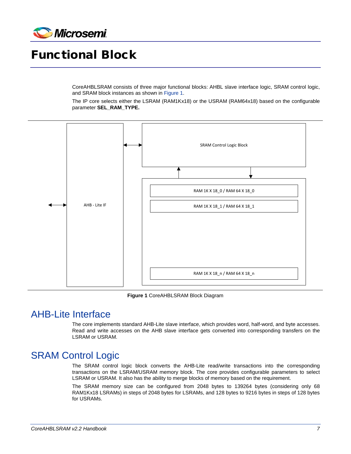

## <span id="page-6-0"></span>Functional Block

CoreAHBLSRAM consists of three major functional blocks: AHBL slave interface logic, SRAM control logic, and SRAM block instances as shown in [Figure 1.](#page-6-3)

The IP core selects either the LSRAM (RAM1Kx18) or the USRAM (RAM64x18) based on the configurable parameter **SEL\_RAM\_TYPE.**



**Figure 1** CoreAHBLSRAM Block Diagram

#### <span id="page-6-3"></span><span id="page-6-1"></span>AHB-Lite Interface

The core implements standard AHB-Lite slave interface, which provides word, half-word, and byte accesses. Read and write accesses on the AHB slave interface gets converted into corresponding transfers on the LSRAM or USRAM.

#### <span id="page-6-2"></span>**SRAM Control Logic**

The SRAM control logic block converts the AHB-Lite read/write transactions into the corresponding transactions on the LSRAM/USRAM memory block. The core provides configurable parameters to select LSRAM or USRAM. It also has the ability to merge blocks of memory based on the requirement.

The SRAM memory size can be configured from 2048 bytes to 139264 bytes (considering only 68 RAM1Kx18 LSRAMs) in steps of 2048 bytes for LSRAMs, and 128 bytes to 9216 bytes in steps of 128 bytes for USRAMs.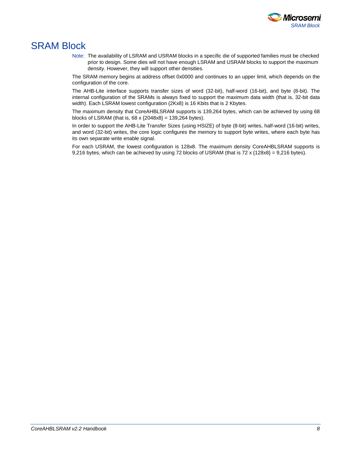

#### <span id="page-7-0"></span>SRAM Block

Note: The availability of LSRAM and USRAM blocks in a specific die of supported families must be checked prior to design. Some dies will not have enough LSRAM and USRAM blocks to support the maximum density. However, they will support other densities.

The SRAM memory begins at address offset 0x0000 and continues to an upper limit, which depends on the configuration of the core.

The AHB-Lite interface supports transfer sizes of word (32-bit), half-word (16-bit), and byte (8-bit). The internal configuration of the SRAMs is always fixed to support the maximum data width (that is, 32-bit data width). Each LSRAM lowest configuration (2Kx8) is 16 Kbits that is 2 Kbytes.

The maximum density that CoreAHBLSRAM supports is 139,264 bytes, which can be achieved by using 68 blocks of LSRAM (that is,  $68 \times \{2048 \times 8\} = 139,264$  bytes).

In order to support the AHB-Lite Transfer Sizes (using HSIZE) of byte (8-bit) writes, half-word (16-bit) writes, and word (32-bit) writes, the core logic configures the memory to support byte writes, where each byte has its own separate write enable signal.

For each USRAM, the lowest configuration is 128x8. The maximum density CoreAHBLSRAM supports is 9,216 bytes, which can be achieved by using 72 blocks of USRAM (that is 72 x  $\{128x8\} = 9,216$  bytes).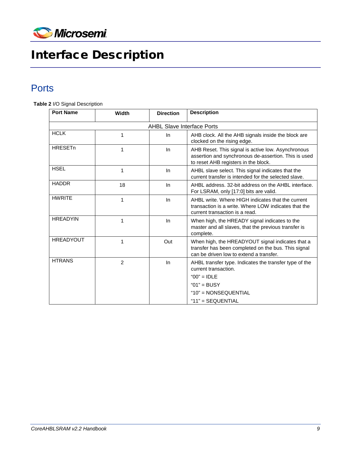

# <span id="page-8-0"></span>Interface Description

### <span id="page-8-1"></span>**Ports**

**Table 2** I/O Signal Description

| <b>Port Name</b>                  | Width          | <b>Direction</b> | <b>Description</b>                                                                                                                                 |  |  |  |
|-----------------------------------|----------------|------------------|----------------------------------------------------------------------------------------------------------------------------------------------------|--|--|--|
| <b>AHBL Slave Interface Ports</b> |                |                  |                                                                                                                                                    |  |  |  |
| <b>HCLK</b>                       | 1              | In               | AHB clock. All the AHB signals inside the block are<br>clocked on the rising edge.                                                                 |  |  |  |
| <b>HRESETn</b>                    | 1              | In               | AHB Reset. This signal is active low. Asynchronous<br>assertion and synchronous de-assertion. This is used<br>to reset AHB registers in the block. |  |  |  |
| <b>HSEL</b>                       | 1              | In               | AHBL slave select. This signal indicates that the<br>current transfer is intended for the selected slave.                                          |  |  |  |
| <b>HADDR</b>                      | 18             | In               | AHBL address, 32-bit address on the AHBL interface.<br>For LSRAM, only [17:0] bits are valid.                                                      |  |  |  |
| <b>HWRITE</b>                     | 1              | In               | AHBL write. Where HIGH indicates that the current<br>transaction is a write. Where LOW indicates that the<br>current transaction is a read.        |  |  |  |
| <b>HREADYIN</b>                   | 1              | In               | When high, the HREADY signal indicates to the<br>master and all slaves, that the previous transfer is<br>complete.                                 |  |  |  |
| <b>HREADYOUT</b>                  | 1              | Out              | When high, the HREADYOUT signal indicates that a<br>transfer has been completed on the bus. This signal<br>can be driven low to extend a transfer. |  |  |  |
| <b>HTRANS</b>                     | $\overline{2}$ | In               | AHBL transfer type. Indicates the transfer type of the<br>current transaction.                                                                     |  |  |  |
|                                   |                |                  | $"00" = IDLE$                                                                                                                                      |  |  |  |
|                                   |                |                  | " $01"$ = BUSY                                                                                                                                     |  |  |  |
|                                   |                |                  | " $10"$ = NONSEQUENTIAL                                                                                                                            |  |  |  |
|                                   |                |                  | " $11" = SEQUENTIAL$                                                                                                                               |  |  |  |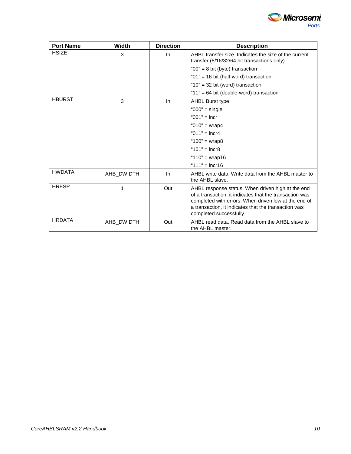

| <b>Port Name</b> | Width      | <b>Direction</b> | <b>Description</b>                                                                                                                                                                                                                                      |
|------------------|------------|------------------|---------------------------------------------------------------------------------------------------------------------------------------------------------------------------------------------------------------------------------------------------------|
| <b>HSIZE</b>     | 3          | In.              | AHBL transfer size. Indicates the size of the current<br>transfer (8/16/32/64 bit transactions only)                                                                                                                                                    |
|                  |            |                  | " $00" = 8$ bit (byte) transaction                                                                                                                                                                                                                      |
|                  |            |                  | "01" = 16 bit (half-word) transaction                                                                                                                                                                                                                   |
|                  |            |                  | " $10"$ = 32 bit (word) transaction                                                                                                                                                                                                                     |
|                  |            |                  | "11" = 64 bit (double-word) transaction                                                                                                                                                                                                                 |
| <b>HBURST</b>    | 3          | In.              | <b>AHBL Burst type</b>                                                                                                                                                                                                                                  |
|                  |            |                  | " $000$ " = single                                                                                                                                                                                                                                      |
|                  |            |                  | " $001" =$ incr                                                                                                                                                                                                                                         |
|                  |            |                  | " $010$ " = wrap4                                                                                                                                                                                                                                       |
|                  |            |                  | " $011$ " = incr4                                                                                                                                                                                                                                       |
|                  |            |                  | "100" = $wrap8$                                                                                                                                                                                                                                         |
|                  |            |                  | " $101" = incr8$                                                                                                                                                                                                                                        |
|                  |            |                  | " $110$ " = wrap16                                                                                                                                                                                                                                      |
|                  |            |                  | " $111$ " = incr16                                                                                                                                                                                                                                      |
| <b>HWDATA</b>    | AHB_DWIDTH | In.              | AHBL write data. Write data from the AHBL master to<br>the AHBL slave.                                                                                                                                                                                  |
| <b>HRESP</b>     | 1          | Out              | AHBL response status. When driven high at the end<br>of a transaction, it indicates that the transaction was<br>completed with errors. When driven low at the end of<br>a transaction, it indicates that the transaction was<br>completed successfully. |
| <b>HRDATA</b>    | AHB DWIDTH | Out              | AHBL read data. Read data from the AHBL slave to<br>the AHBL master.                                                                                                                                                                                    |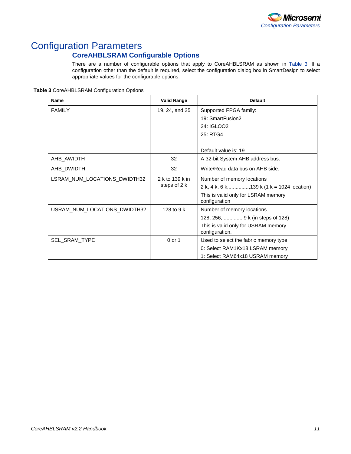

### <span id="page-10-0"></span>Configuration Parameters

#### **CoreAHBLSRAM Configurable Options**

There are a number of configurable options that apply to CoreAHBLSRAM as shown in [Table 3.](#page-10-1) If a configuration other than the default is required, select the configuration dialog box in SmartDesign to select appropriate values for the configurable options.

<span id="page-10-1"></span>**Table 3** CoreAHBLSRAM Configuration Options

| <b>Name</b>                  | <b>Valid Range</b> | <b>Default</b>                                        |
|------------------------------|--------------------|-------------------------------------------------------|
| <b>FAMILY</b>                | 19, 24, and 25     | Supported FPGA family:                                |
|                              |                    | 19: SmartFusion2                                      |
|                              |                    | 24: IGLOO2                                            |
|                              |                    | 25: RTG4                                              |
|                              |                    |                                                       |
|                              |                    | Default value is: 19                                  |
| AHB_AWIDTH                   | 32                 | A 32-bit System AHB address bus.                      |
| AHB DWIDTH                   | 32                 | Write/Read data bus on AHB side.                      |
| LSRAM_NUM_LOCATIONS_DWIDTH32 | 2 k to 139 k in    | Number of memory locations                            |
|                              | steps of 2 k       | 2 k, 4 k, 6 k,, 139 k (1 k = 1024 location)           |
|                              |                    | This is valid only for LSRAM memory<br>configuration  |
| USRAM_NUM_LOCATIONS_DWIDTH32 | 128 to 9 $k$       | Number of memory locations                            |
|                              |                    | 128, 256,, 9 k (in steps of 128)                      |
|                              |                    | This is valid only for USRAM memory<br>configuration. |
| <b>SEL SRAM TYPE</b>         | 0 or 1             | Used to select the fabric memory type                 |
|                              |                    | 0: Select RAM1Kx18 LSRAM memory                       |
|                              |                    | 1: Select RAM64x18 USRAM memory                       |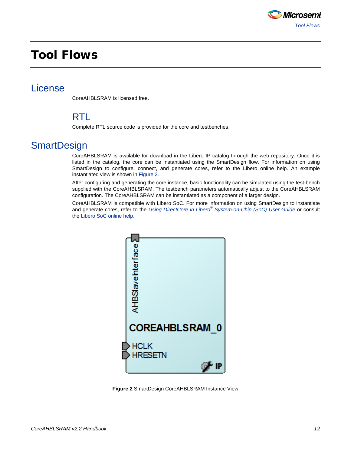

### <span id="page-11-0"></span>Tool Flows

#### <span id="page-11-2"></span><span id="page-11-1"></span>License

CoreAHBLSRAM is licensed free.

#### RTL

Complete RTL source code is provided for the core and testbenches.

#### <span id="page-11-3"></span>**SmartDesign**

CoreAHBLSRAM is available for download in the Libero IP catalog through the web repository. Once it is listed in the catalog, the core can be instantiated using the SmartDesign flow. For information on using SmartDesign to configure, connect, and generate cores, refer to the Libero online help. An example instantiated view is shown in [Figure 2.](#page-11-4)

After configuring and generating the core instance, basic functionality can be simulated using the test-bench supplied with the CoreAHBLSRAM. The testbench parameters automatically adjust to the CoreAHBLSRAM configuration. The CoreAHBLSRAM can be instantiated as a component of a larger design.

CoreAHBLSRAM is compatible with Libero SoC. For more information on using SmartDesign to instantiate and generate cores, refer to the *Using DirectCore in Libero® [System-on-Chip \(SoC\) User Guide](http://www.microsemi.com/soc/documents/directcore_in_libero_tutorial_ug.pdf)* or consult the [Libero SoC online help.](http://www.microsemi.com/index.php?option=com_docman&task=doc_download&gid=132044)

<span id="page-11-4"></span>

**Figure 2** SmartDesign CoreAHBLSRAM Instance View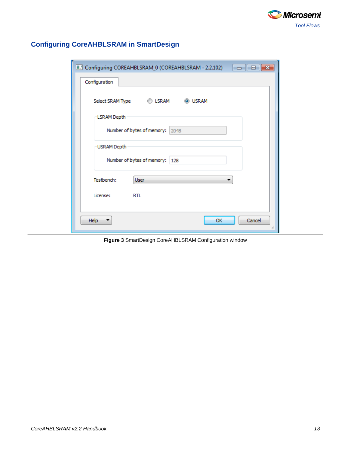

| Configuration | Configuring COREAHBLSRAM_0 (COREAHBLSRAM - 2.2.102)<br>▎▄▕▏▣▕ <mark>▏▓</mark> |
|---------------|-------------------------------------------------------------------------------|
|               |                                                                               |
|               | Select SRAM Type <b>COLSRAM</b><br><b>O</b> USRAM                             |
| LSRAM Depth   |                                                                               |
|               | Number of bytes of memory: 2048                                               |
|               |                                                                               |
| USRAM Depth   |                                                                               |
|               | Number of bytes of memory: 128                                                |
| Testbench:    | <b>User</b>                                                                   |
|               |                                                                               |
| License:      | RTL.                                                                          |
|               |                                                                               |
| Help          | Cancel<br>OK                                                                  |

#### **Configuring CoreAHBLSRAM in SmartDesign**

**Figure 3** SmartDesign CoreAHBLSRAM Configuration window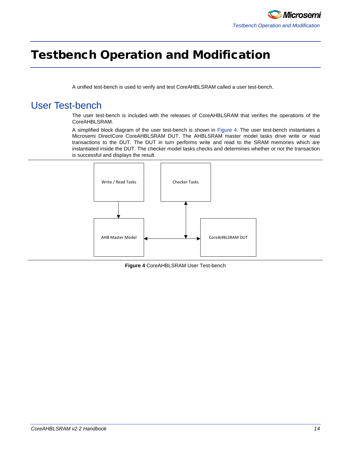### <span id="page-13-0"></span>Testbench Operation and Modification

A unified test-bench is used to verify and test CoreAHBLSRAM called a user test-bench.

### <span id="page-13-1"></span>User Test-bench

The user test-bench is included with the releases of CoreAHBLSRAM that verifies the operations of the CoreAHBLSRAM.

A simplified block diagram of the user test-bench is shown in [Figure 4.](#page-13-2) The user test-bench instantiates a Microsemi DirectCore CoreAHBLSRAM DUT. The AHBLSRAM master model tasks drive write or read transactions to the DUT. The DUT in turn performs write and read to the SRAM memories which are instantiated inside the DUT. The checker model tasks checks and determines whether or not the transaction is successful and displays the result.



<span id="page-13-2"></span>**Figure 4** CoreAHBLSRAM User Test-bench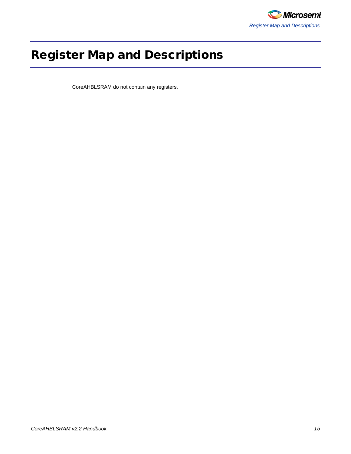

# <span id="page-14-0"></span>Register Map and Descriptions

CoreAHBLSRAM do not contain any registers.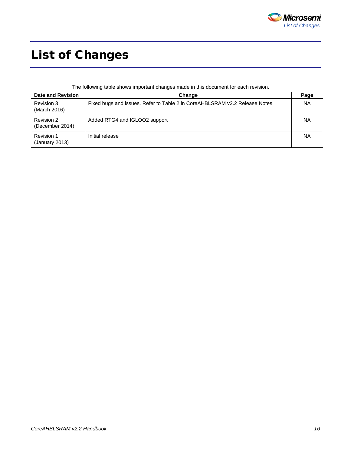

# <span id="page-15-0"></span>List of Changes

The following table shows important changes made in this document for each revision.

| <b>Date and Revision</b>      | Change                                                                     | Page      |
|-------------------------------|----------------------------------------------------------------------------|-----------|
| Revision 3<br>(March 2016)    | Fixed bugs and issues. Refer to Table 2 in CoreAHBLSRAM v2.2 Release Notes | <b>NA</b> |
| Revision 2<br>(December 2014) | Added RTG4 and IGLOO2 support                                              | <b>NA</b> |
| Revision 1<br>(January 2013)  | Initial release                                                            | <b>NA</b> |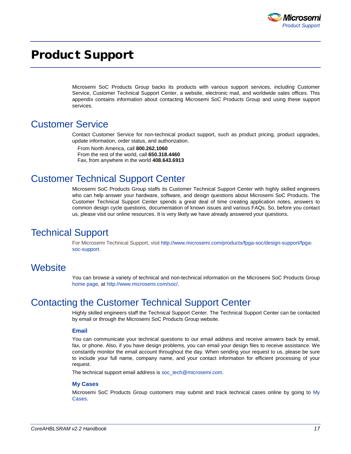

### <span id="page-16-0"></span>Product Support

Microsemi SoC Products Group backs its products with various support services, including Customer Service, Customer Technical Support Center, a website, electronic mail, and worldwide sales offices. This appendix contains information about contacting Microsemi SoC Products Group and using these support services.

#### Customer Service

Contact Customer Service for non-technical product support, such as product pricing, product upgrades, update information, order status, and authorization.

From North America, call **800.262.1060** From the rest of the world, call **650.318.4460** Fax, from anywhere in the world **408.643.6913**

#### Customer Technical Support Center

Microsemi SoC Products Group staffs its Customer Technical Support Center with highly skilled engineers who can help answer your hardware, software, and design questions about Microsemi SoC Products. The Customer Technical Support Center spends a great deal of time creating application notes, answers to common design cycle questions, documentation of known issues and various FAQs. So, before you contact us, please visit our online resources. It is very likely we have already answered your questions.

#### Technical Support

For Microsemi Technical Support, visit [http://www.microsemi.com/products/fpga-soc/design-support/fpga](http://www.microsemi.com/products/fpga-soc/design-support/fpga-soc-support)[soc-support.](http://www.microsemi.com/products/fpga-soc/design-support/fpga-soc-support)

#### **Website**

You can browse a variety of technical and non-technical information on the Microsemi SoC Products Group [home page,](http://www.microsemi.com/soc) at [http://www.microsemi.com/soc/.](http://www.microsemi.com/soc/)

#### Contacting the Customer Technical Support Center

Highly skilled engineers staff the Technical Support Center. The Technical Support Center can be contacted by email or through the Microsemi SoC Products Group website.

#### **Email**

You can communicate your technical questions to our email address and receive answers back by email, fax, or phone. Also, if you have design problems, you can email your design files to receive assistance. We constantly monitor the email account throughout the day. When sending your request to us, please be sure to include your full name, company name, and your contact information for efficient processing of your request.

The technical support email address is [soc\\_tech@microsemi.com.](mailto:soc_tech@microsemi.com)

#### **My Cases**

Microsemi SoC Products Group customers may submit and track technical cases online by going to [My](http://www.microsemi.com/soc/mycases/)  [Cases.](http://www.microsemi.com/soc/mycases/)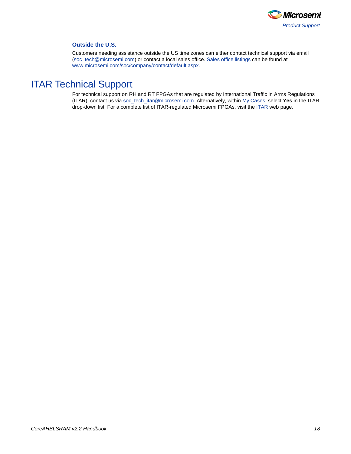

#### **Outside the U.S.**

Customers needing assistance outside the US time zones can either contact technical support via email [\(soc\\_tech@microsemi.com\)](mailto:soc_tech@microsemi.com) or contact a local sales office[. Sales office listings](http://www.microsemi.com/soc/company/contact/default.aspx) can be found a[t](http://www.microsemi.com/soc/company/contact/default.aspx) [www.microsemi.com/soc/company/contact/default.aspx.](http://www.microsemi.com/soc/company/contact/default.aspx)

### [ITAR Technical Support](http://www.microsemi.com/soc/company/contact/default.aspx#itartechsupport)

For technical support on RH and RT FPGAs that are regulated by International Traffic in Arms Regulations (ITAR), contact us via [soc\\_tech\\_itar@microsemi.com.](mailto:soc_tech_itar@microsemi.com) Alternatively, withi[n My Cases,](http://www.microsemi.com/mycases/) select **Yes** in the ITAR drop-down list. For a complete list of ITAR-regulated Microsemi FPGAs, visit the [ITAR](http://www.microsemi.com/soc/ITAR/) web page.